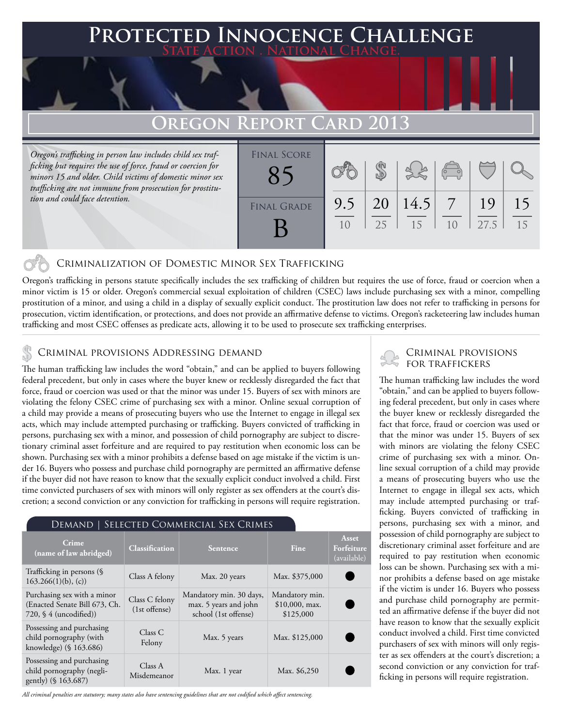### **PTED INNOCENCE CHALLENGE State Action . National Change.**

## **Oregon Report Card 2013**

*Oregon's trafficking in person law includes child sex trafficking but requires the use of force, fraud or coercion for minors 15 and older. Child victims of domestic minor sex trafficking are not immune from prosecution for prostitution and could face detention.*

| <b>FINAL SCORE</b> |           |          |            | $\begin{pmatrix} 1 & 1 \\ 1 & 1 \end{pmatrix}$ |            |          |
|--------------------|-----------|----------|------------|------------------------------------------------|------------|----------|
| <b>FINAL GRADE</b> | 9.5<br>10 | 20<br>25 | 14.5<br>15 | 10                                             | 19<br>27.5 | 15<br>15 |

#### Criminalization of Domestic Minor Sex Trafficking

Oregon's trafficking in persons statute specifically includes the sex trafficking of children but requires the use of force, fraud or coercion when a minor victim is 15 or older. Oregon's commercial sexual exploitation of children (CSEC) laws include purchasing sex with a minor, compelling prostitution of a minor, and using a child in a display of sexually explicit conduct. The prostitution law does not refer to trafficking in persons for prosecution, victim identification, or protections, and does not provide an affirmative defense to victims. Oregon's racketeering law includes human trafficking and most CSEC offenses as predicate acts, allowing it to be used to prosecute sex trafficking enterprises.

## CRIMINAL PROVISIONS ADDRESSING DEMAND<br>In the set of traffickers in the set of the set of the set of the set of the set of the set of the set of the

The human trafficking law includes the word "obtain," and can be applied to buyers following federal precedent, but only in cases where the buyer knew or recklessly disregarded the fact that force, fraud or coercion was used or that the minor was under 15. Buyers of sex with minors are violating the felony CSEC crime of purchasing sex with a minor. Online sexual corruption of a child may provide a means of prosecuting buyers who use the Internet to engage in illegal sex acts, which may include attempted purchasing or trafficking. Buyers convicted of trafficking in persons, purchasing sex with a minor, and possession of child pornography are subject to discretionary criminal asset forfeiture and are required to pay restitution when economic loss can be shown. Purchasing sex with a minor prohibits a defense based on age mistake if the victim is under 16. Buyers who possess and purchase child pornography are permitted an affirmative defense if the buyer did not have reason to know that the sexually explicit conduct involved a child. First time convicted purchasers of sex with minors will only register as sex offenders at the court's discretion; a second conviction or any conviction for trafficking in persons will require registration.

#### Demand | Selected Commercial Sex Crimes

| Crime<br>(name of law abridged)                                                                  | <b>Classification</b>           | <b>Sentence</b>                                                          | <b>Fine</b>                                     | Asset<br>Forfeiture<br>(available) |
|--------------------------------------------------------------------------------------------------|---------------------------------|--------------------------------------------------------------------------|-------------------------------------------------|------------------------------------|
| Trafficking in persons (§<br>$163.266(1)(b)$ , (c))                                              | Class A felony                  | Max. 20 years                                                            | Max. \$375,000                                  |                                    |
| Purchasing sex with a minor<br>(Enacted Senate Bill 673, Ch.<br>720, $\frac{6}{4}$ (uncodified)) | Class C felony<br>(1st offense) | Mandatory min. 30 days,<br>max. 5 years and john<br>school (1st offense) | Mandatory min.<br>$$10,000$ , max.<br>\$125,000 |                                    |
| Possessing and purchasing<br>child pornography (with<br>knowledge) (§ 163.686)                   | Class C<br>Felony               | Max. 5 years                                                             | Max. \$125,000                                  |                                    |
| Possessing and purchasing<br>child pornography (negli-<br>gently) (§ 163.687)                    | Class A<br>Misdemeanor          | Max. 1 year                                                              | Max. \$6,250                                    |                                    |

*All criminal penalties are statutory; many states also have sentencing guidelines that are not codified which affect sentencing.* 

# Criminal provisions

The human trafficking law includes the word "obtain," and can be applied to buyers following federal precedent, but only in cases where the buyer knew or recklessly disregarded the fact that force, fraud or coercion was used or that the minor was under 15. Buyers of sex with minors are violating the felony CSEC crime of purchasing sex with a minor. Online sexual corruption of a child may provide a means of prosecuting buyers who use the Internet to engage in illegal sex acts, which may include attempted purchasing or trafficking. Buyers convicted of trafficking in persons, purchasing sex with a minor, and possession of child pornography are subject to discretionary criminal asset forfeiture and are required to pay restitution when economic loss can be shown. Purchasing sex with a minor prohibits a defense based on age mistake if the victim is under 16. Buyers who possess and purchase child pornography are permitted an affirmative defense if the buyer did not have reason to know that the sexually explicit conduct involved a child. First time convicted purchasers of sex with minors will only register as sex offenders at the court's discretion; a second conviction or any conviction for trafficking in persons will require registration.